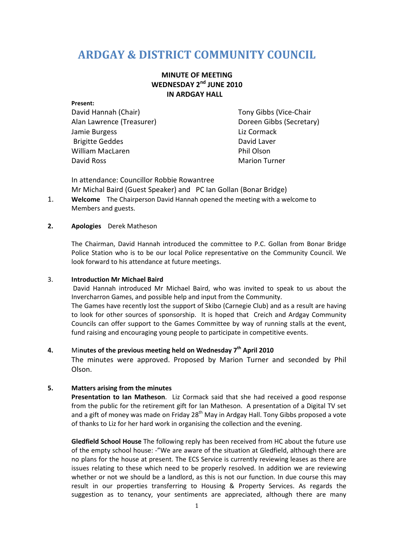# **ARDGAY & DISTRICT COMMUNITY COUNCIL**

## **MINUTE OF MEETING WEDNESDAY 2nd JUNE 2010 IN ARDGAY HALL**

# **Present:**  David Hannah (Chair) Tony Gibbs (Vice-Chair Jamie Burgess Liz Cormack Brigitte Geddes David Laver William MacLaren **Phil Olson** David Ross Marion Turner

Alan Lawrence (Treasurer) Manus (Secretary) Doreen Gibbs (Secretary)

In attendance: Councillor Robbie Rowantree Mr Michal Baird (Guest Speaker) and PC Ian Gollan (Bonar Bridge)

1. **Welcome** The Chairperson David Hannah opened the meeting with a welcome to Members and guests.

#### **2. Apologies** Derek Matheson

The Chairman, David Hannah introduced the committee to P.C. Gollan from Bonar Bridge Police Station who is to be our local Police representative on the Community Council. We look forward to his attendance at future meetings.

#### 3. **Introduction Mr Michael Baird**

David Hannah introduced Mr Michael Baird, who was invited to speak to us about the Invercharron Games, and possible help and input from the Community.

The Games have recently lost the support of Skibo (Carnegie Club) and as a result are having to look for other sources of sponsorship. It is hoped that Creich and Ardgay Community Councils can offer support to the Games Committee by way of running stalls at the event, fund raising and encouraging young people to participate in competitive events.

### **4.** Mi**nutes of the previous meeting held on Wednesday 7th April 2010**

The minutes were approved. Proposed by Marion Turner and seconded by Phil Olson.

#### **5. Matters arising from the minutes**

**Presentation to Ian Matheson**. Liz Cormack said that she had received a good response from the public for the retirement gift for Ian Matheson. A presentation of a Digital TV set and a gift of money was made on Friday 28<sup>th</sup> May in Ardgay Hall. Tony Gibbs proposed a vote of thanks to Liz for her hard work in organising the collection and the evening.

**Gledfield School House** The following reply has been received from HC about the future use of the empty school house: -"We are aware of the situation at Gledfield, although there are no plans for the house at present. The ECS Service is currently reviewing leases as there are issues relating to these which need to be properly resolved. In addition we are reviewing whether or not we should be a landlord, as this is not our function. In due course this may result in our properties transferring to Housing & Property Services. As regards the suggestion as to tenancy, your sentiments are appreciated, although there are many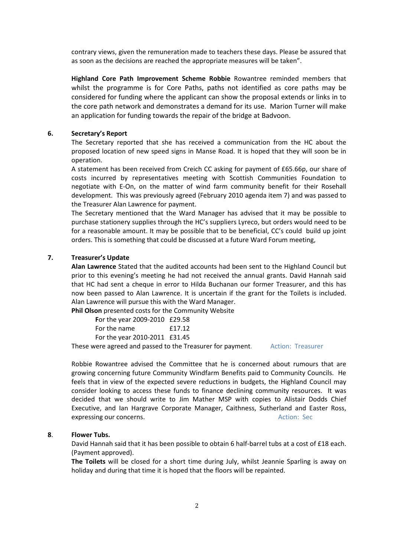contrary views, given the remuneration made to teachers these days. Please be assured that as soon as the decisions are reached the appropriate measures will be taken".

**Highland Core Path Improvement Scheme Robbie** Rowantree reminded members that whilst the programme is for Core Paths, paths not identified as core paths may be considered for funding where the applicant can show the proposal extends or links in to the core path network and demonstrates a demand for its use. Marion Turner will make an application for funding towards the repair of the bridge at Badvoon.

#### **6. Secretary's Report**

The Secretary reported that she has received a communication from the HC about the proposed location of new speed signs in Manse Road. It is hoped that they will soon be in operation.

A statement has been received from Creich CC asking for payment of £65.66p, our share of costs incurred by representatives meeting with Scottish Communities Foundation to negotiate with E-On, on the matter of wind farm community benefit for their Rosehall development. This was previously agreed (February 2010 agenda item 7) and was passed to the Treasurer Alan Lawrence for payment.

The Secretary mentioned that the Ward Manager has advised that it may be possible to purchase stationery supplies through the HC's suppliers Lyreco, but orders would need to be for a reasonable amount. It may be possible that to be beneficial, CC's could build up joint orders. This is something that could be discussed at a future Ward Forum meeting,

#### **7. Treasurer's Update**

**Alan Lawrence** Stated that the audited accounts had been sent to the Highland Council but prior to this evening's meeting he had not received the annual grants. David Hannah said that HC had sent a cheque in error to Hilda Buchanan our former Treasurer, and this has now been passed to Alan Lawrence. It is uncertain if the grant for the Toilets is included. Alan Lawrence will pursue this with the Ward Manager.

**Phil Olson** presented costs for the Community Website

| For the year 2009-2010 £29.58                                                                                                                                                                                                |        |
|------------------------------------------------------------------------------------------------------------------------------------------------------------------------------------------------------------------------------|--------|
| For the name                                                                                                                                                                                                                 | f17.12 |
| For the year 2010-2011 £31.45                                                                                                                                                                                                |        |
| the contract of the contract of the contract of the set of the set of the set of the set of the set of the set of the set of the set of the set of the set of the set of the set of the set of the set of the set of the set |        |

These were agreed and passed to the Treasurer for payment. Action: Treasurer

Robbie Rowantree advised the Committee that he is concerned about rumours that are growing concerning future Community Windfarm Benefits paid to Community Councils. He feels that in view of the expected severe reductions in budgets, the Highland Council may consider looking to access these funds to finance declining community resources. It was decided that we should write to Jim Mather MSP with copies to Alistair Dodds Chief Executive, and Ian Hargrave Corporate Manager, Caithness, Sutherland and Easter Ross, expressing our concerns. The contract of the second second second second second second second second second second second second second second second second second second second second second second second second second se

#### **8**. **Flower Tubs.**

David Hannah said that it has been possible to obtain 6 half-barrel tubs at a cost of £18 each. (Payment approved).

**The Toilets** will be closed for a short time during July, whilst Jeannie Sparling is away on holiday and during that time it is hoped that the floors will be repainted.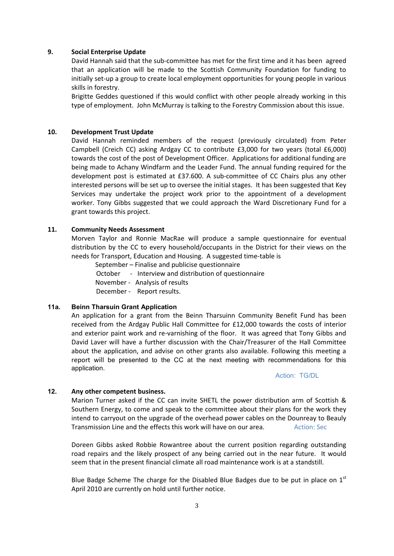#### **9. Social Enterprise Update**

David Hannah said that the sub-committee has met for the first time and it has been agreed that an application will be made to the Scottish Community Foundation for funding to initially set-up a group to create local employment opportunities for young people in various skills in forestry.

Brigitte Geddes questioned if this would conflict with other people already working in this type of employment. John McMurray is talking to the Forestry Commission about this issue.

#### **10. Development Trust Update**

David Hannah reminded members of the request (previously circulated) from Peter Campbell (Creich CC) asking Ardgay CC to contribute £3,000 for two years (total £6,000) towards the cost of the post of Development Officer. Applications for additional funding are being made to Achany Windfarm and the Leader Fund. The annual funding required for the development post is estimated at £37.600. A sub-committee of CC Chairs plus any other interested persons will be set up to oversee the initial stages. It has been suggested that Key Services may undertake the project work prior to the appointment of a development worker. Tony Gibbs suggested that we could approach the Ward Discretionary Fund for a grant towards this project.

#### **11. Community Needs Assessment**

Morven Taylor and Ronnie MacRae will produce a sample questionnaire for eventual distribution by the CC to every household/occupants in the District for their views on the needs for Transport, Education and Housing. A suggested time-table is

 September – Finalise and publicise questionnaire October - Interview and distribution of questionnaire November - Analysis of results December - Report results.

#### **11a. Beinn Tharsuin Grant Application**

An application for a grant from the Beinn Tharsuinn Community Benefit Fund has been received from the Ardgay Public Hall Committee for £12,000 towards the costs of interior and exterior paint work and re-varnishing of the floor. It was agreed that Tony Gibbs and David Laver will have a further discussion with the Chair/Treasurer of the Hall Committee about the application, and advise on other grants also available. Following this meeting a report will be presented to the CC at the next meeting with recommendations for this application.

Action: TG/DL

#### **12. Any other competent business.**

Marion Turner asked if the CC can invite SHETL the power distribution arm of Scottish & Southern Energy, to come and speak to the committee about their plans for the work they intend to carryout on the upgrade of the overhead power cables on the Dounreay to Beauly Transmission Line and the effects this work will have on our area. Action: Sec

Doreen Gibbs asked Robbie Rowantree about the current position regarding outstanding road repairs and the likely prospect of any being carried out in the near future. It would seem that in the present financial climate all road maintenance work is at a standstill.

Blue Badge Scheme The charge for the Disabled Blue Badges due to be put in place on  $1<sup>st</sup>$ April 2010 are currently on hold until further notice.